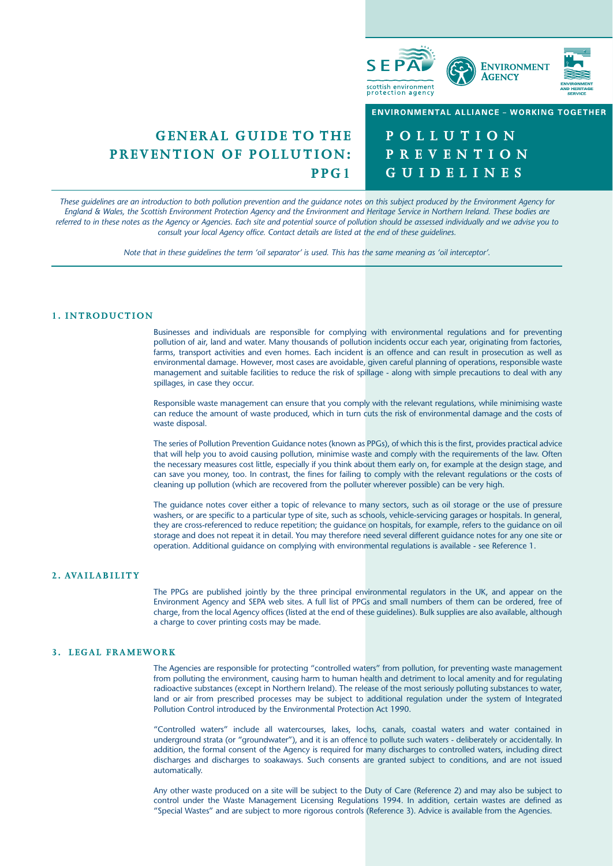

# **GENERAL GUIDE TO THE PREVENTION OF POLLUTION: PPG1**

**POLLUTION PREVENTION GUIDELINES**

*These guidelines are an introduction to both pollution prevention and the guidance notes on this subject produced by the Environment Agency for England & Wales, the Scottish Environment Protection Agency and the Environment and Heritage Service in Northern Ireland. These bodies are referred to in these notes as the Agency or Agencies. Each site and potential source of pollution should be assessed individually and we advise you to consult your local Agency office. Contact details are listed at the end of these guidelines.*

*Note that in these guidelines the term 'oil separator' is used. This has the same meaning as 'oil interceptor'.*

# **1. INTRODUCTION**

Businesses and individuals are responsible for complying with environmental regulations and for preventing pollution of air, land and water. Many thousands of pollution incidents occur each year, originating from factories, farms, transport activities and even homes. Each incident is an offence and can result in prosecution as well as environmental damage. However, most cases are avoidable, given careful planning of operations, responsible waste management and suitable facilities to reduce the risk of spillage - along with simple precautions to deal with any spillages, in case they occur.

Responsible waste management can ensure that you comply with the relevant regulations, while minimising waste can reduce the amount of waste produced, which in turn cuts the risk of environmental damage and the costs of waste disposal.

The series of Pollution Prevention Guidance notes (known as PPGs), of which this is the first, provides practical advice that will help you to avoid causing pollution, minimise waste and comply with the requirements of the law. Often the necessary measures cost little, especially if you think about them early on, for example at the design stage, and can save you money, too. In contrast, the fines for failing to comply with the relevant regulations or the costs of cleaning up pollution (which are recovered from the polluter wherever possible) can be very high.

The guidance notes cover either a topic of relevance to many sectors, such as oil storage or the use of pressure washers, or are specific to a particular type of site, such as schools, vehicle-servicing garages or hospitals. In general, they are cross-referenced to reduce repetition; the guidance on hospitals, for example, refers to the guidance on oil storage and does not repeat it in detail. You may therefore need several different guidance notes for any one site or operation. Additional guidance on complying with environmental regulations is available - see Reference 1.

# **2. AVAILABILITY**

The PPGs are published jointly by the three principal environmental regulators in the UK, and appear on the Environment Agency and SEPA web sites. A full list of PPGs and small numbers of them can be ordered, free of charge, from the local Agency offices (listed at the end of these guidelines). Bulk supplies are also available, although a charge to cover printing costs may be made.

#### **3. LEGAL FRAMEWORK**

The Agencies are responsible for protecting "controlled waters" from pollution, for preventing waste management from polluting the environment, causing harm to human health and detriment to local amenity and for regulating radioactive substances (except in Northern Ireland). The release of the most seriously polluting substances to water, land or air from prescribed processes may be subject to additional regulation under the system of Integrated Pollution Control introduced by the Environmental Protection Act 1990.

"Controlled waters" include all watercourses, lakes, lochs, canals, coastal waters and water contained in underground strata (or "groundwater"), and it is an offence to pollute such waters - deliberately or accidentally. In addition, the formal consent of the Agency is required for many discharges to controlled waters, including direct discharges and discharges to soakaways. Such consents are granted subject to conditions, and are not issued automatically.

Any other waste produced on a site will be subject to the Duty of Care (Reference 2) and may also be subject to control under the Waste Management Licensing Regulations 1994. In addition, certain wastes are defined as "Special Wastes" and are subject to more rigorous controls (Reference 3). Advice is available from the Agencies.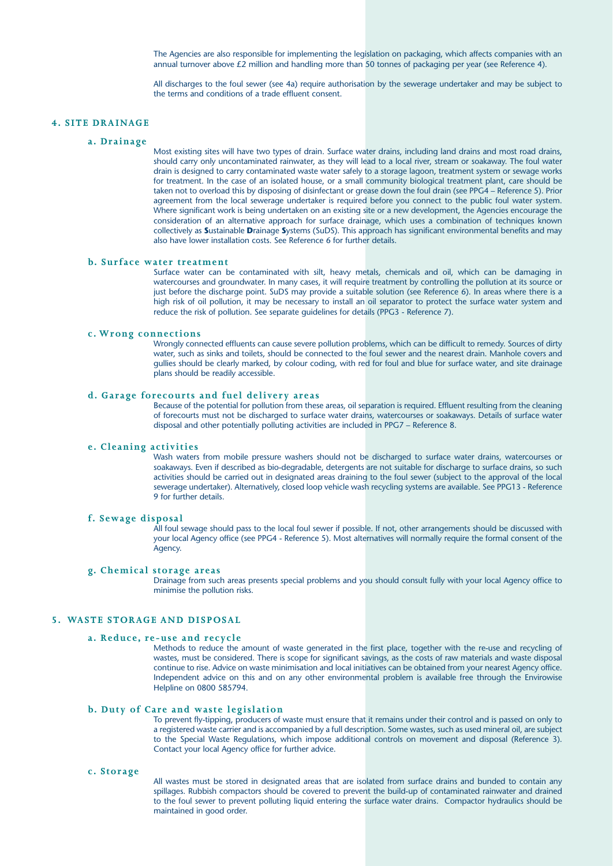The Agencies are also responsible for implementing the legislation on packaging, which affects companies with an annual turnover above £2 million and handling more than 50 tonnes of packaging per year (see Reference 4).

All discharges to the foul sewer (see 4a) require authorisation by the sewerage undertaker and may be subject to the terms and conditions of a trade effluent consent.

#### **4. SITE DRAINAGE**

#### **a. Drainage**

Most existing sites will have two types of drain. Surface water drains, including land drains and most road drains, should carry only uncontaminated rainwater, as they will lead to a local river, stream or soakaway. The foul water drain is designed to carry contaminated waste water safely to a storage lagoon, treatment system or sewage works for treatment. In the case of an isolated house, or a small community biological treatment plant, care should be taken not to overload this by disposing of disinfectant or grease down the foul drain (see PPG4 – Reference 5). Prior agreement from the local sewerage undertaker is required before you connect to the public foul water system. Where significant work is being undertaken on an existing site or a new development, the Agencies encourage the consideration of an alternative approach for surface drainage, which uses a combination of techniques known collectively as **S**ustainable **D**rainage **S**ystems (SuDS). This approach has significant environmental benefits and may also have lower installation costs. See Reference 6 for further details.

# **b. Surface water treatment**

Surface water can be contaminated with silt, heavy metals, chemicals and oil, which can be damaging in watercourses and groundwater. In many cases, it will require treatment by controlling the pollution at its source or just before the discharge point. SuDS may provide a suitable solution (see Reference 6). In areas where there is a high risk of oil pollution, it may be necessary to install an oil separator to protect the surface water system and reduce the risk of pollution. See separate guidelines for details (PPG3 - Reference 7).

#### **c. Wrong connections**

Wrongly connected effluents can cause severe pollution problems, which can be difficult to remedy. Sources of dirty water, such as sinks and toilets, should be connected to the foul sewer and the nearest drain. Manhole covers and gullies should be clearly marked, by colour coding, with red for foul and blue for surface water, and site drainage plans should be readily accessible.

# **d. Garage forecourts and fuel delivery areas**

Because of the potential for pollution from these areas, oil separation is required. Effluent resulting from the cleaning of forecourts must not be discharged to surface water drains, watercourses or soakaways. Details of surface water disposal and other potentially polluting activities are included in PPG7 – Reference 8.

#### **e. Cleaning activities**

Wash waters from mobile pressure washers should not be discharged to surface water drains, watercourses or soakaways. Even if described as bio-degradable, detergents are not suitable for discharge to surface drains, so such activities should be carried out in designated areas draining to the foul sewer (subject to the approval of the local sewerage undertaker). Alternatively, closed loop vehicle wash recycling systems are available. See PPG13 - Reference 9 for further details.

# **f. Sewage disposal**

All foul sewage should pass to the local foul sewer if possible. If not, other arrangements should be discussed with your local Agency office (see PPG4 - Reference 5). Most alternatives will normally require the formal consent of the Agency.

#### **g. Chemical storage areas**

Drainage from such areas presents special problems and you should consult fully with your local Agency office to minimise the pollution risks.

# **5. WASTE STORAGE AND DISPOSAL**

#### **a. Reduce, re-use and recycle**

Methods to reduce the amount of waste generated in the first place, together with the re-use and recycling of wastes, must be considered. There is scope for significant savings, as the costs of raw materials and waste disposal continue to rise. Advice on waste minimisation and local initiatives can be obtained from your nearest Agency office. Independent advice on this and on any other environmental problem is available free through the Envirowise Helpline on 0800 585794.

#### **b. Duty of Care and waste legislation**

To prevent fly-tipping, producers of waste must ensure that it remains under their control and is passed on only to a registered waste carrier and is accompanied by a full description. Some wastes, such as used mineral oil, are subject to the Special Waste Regulations, which impose additional controls on movement and disposal (Reference 3). Contact your local Agency office for further advice.

# **c. Storage**

All wastes must be stored in designated areas that are isolated from surface drains and bunded to contain any spillages. Rubbish compactors should be covered to prevent the build-up of contaminated rainwater and drained to the foul sewer to prevent polluting liquid entering the surface water drains. Compactor hydraulics should be maintained in good order.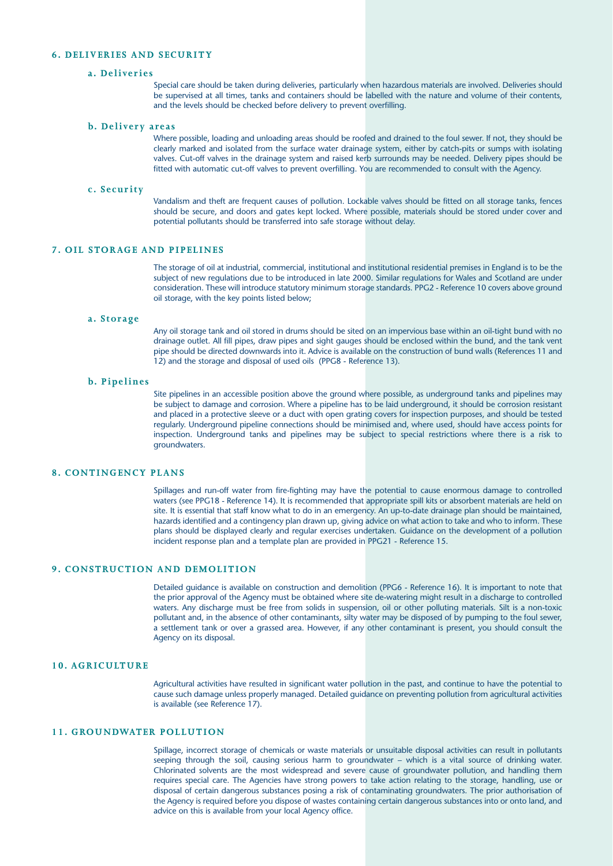#### **6. DELIVERIES AND SECURITY**

#### **a. Deliveries**

Special care should be taken during deliveries, particularly when hazardous materials are involved. Deliveries should be supervised at all times, tanks and containers should be labelled with the nature and volume of their contents, and the levels should be checked before delivery to prevent overfilling.

#### **b. Delivery areas**

Where possible, loading and unloading areas should be roofed and drained to the foul sewer. If not, they should be clearly marked and isolated from the surface water drainage system, either by catch-pits or sumps with isolating valves. Cut-off valves in the drainage system and raised kerb surrounds may be needed. Delivery pipes should be fitted with automatic cut-off valves to prevent overfilling. You are recommended to consult with the Agency.

#### **c. Security**

Vandalism and theft are frequent causes of pollution. Lockable valves should be fitted on all storage tanks, fences should be secure, and doors and gates kept locked. Where possible, materials should be stored under cover and potential pollutants should be transferred into safe storage without delay.

# **7. OIL STORAGE AND PIPELINES**

The storage of oil at industrial, commercial, institutional and institutional residential premises in England is to be the subject of new regulations due to be introduced in late 2000. Similar regulations for Wales and Scotland are under consideration. These will introduce statutory minimum storage standards. PPG2 - Reference 10 covers above ground oil storage, with the key points listed below;

#### **a. Storage**

Any oil storage tank and oil stored in drums should be sited on an impervious base within an oil-tight bund with no drainage outlet. All fill pipes, draw pipes and sight gauges should be enclosed within the bund, and the tank vent pipe should be directed downwards into it. Advice is available on the construction of bund walls (References 11 and 12) and the storage and disposal of used oils (PPG8 - Reference 13).

#### **b. Pipelines**

Site pipelines in an accessible position above the ground where possible, as underground tanks and pipelines may be subject to damage and corrosion. Where a pipeline has to be laid underground, it should be corrosion resistant and placed in a protective sleeve or a duct with open grating covers for inspection purposes, and should be tested regularly. Underground pipeline connections should be minimised and, where used, should have access points for inspection. Underground tanks and pipelines may be subject to special restrictions where there is a risk to groundwaters.

## **8. CONTINGENCY PLANS**

Spillages and run-off water from fire-fighting may have the potential to cause enormous damage to controlled waters (see PPG18 - Reference 14). It is recommended that appropriate spill kits or absorbent materials are held on site. It is essential that staff know what to do in an emergency. An up-to-date drainage plan should be maintained, hazards identified and a contingency plan drawn up, giving advice on what action to take and who to inform. These plans should be displayed clearly and regular exercises undertaken. Guidance on the development of a pollution incident response plan and a template plan are provided in PPG21 - Reference 15.

#### **9. CONSTRUCTION AND DEMOLITION**

Detailed guidance is available on construction and demolition (PPG6 - Reference 16). It is important to note that the prior approval of the Agency must be obtained where site de-watering might result in a discharge to controlled waters. Any discharge must be free from solids in suspension, oil or other polluting materials. Silt is a non-toxic pollutant and, in the absence of other contaminants, silty water may be disposed of by pumping to the foul sewer, a settlement tank or over a grassed area. However, if any other contaminant is present, you should consult the Agency on its disposal.

#### **10. AGRICULTURE**

Agricultural activities have resulted in significant water pollution in the past, and continue to have the potential to cause such damage unless properly managed. Detailed guidance on preventing pollution from agricultural activities is available (see Reference 17).

# **11. GROUNDWATER POLLUTION**

Spillage, incorrect storage of chemicals or waste materials or unsuitable disposal activities can result in pollutants seeping through the soil, causing serious harm to groundwater – which is a vital source of drinking water. Chlorinated solvents are the most widespread and severe cause of groundwater pollution, and handling them requires special care. The Agencies have strong powers to take action relating to the storage, handling, use or disposal of certain dangerous substances posing a risk of contaminating groundwaters. The prior authorisation of the Agency is required before you dispose of wastes containing certain dangerous substances into or onto land, and advice on this is available from your local Agency office.